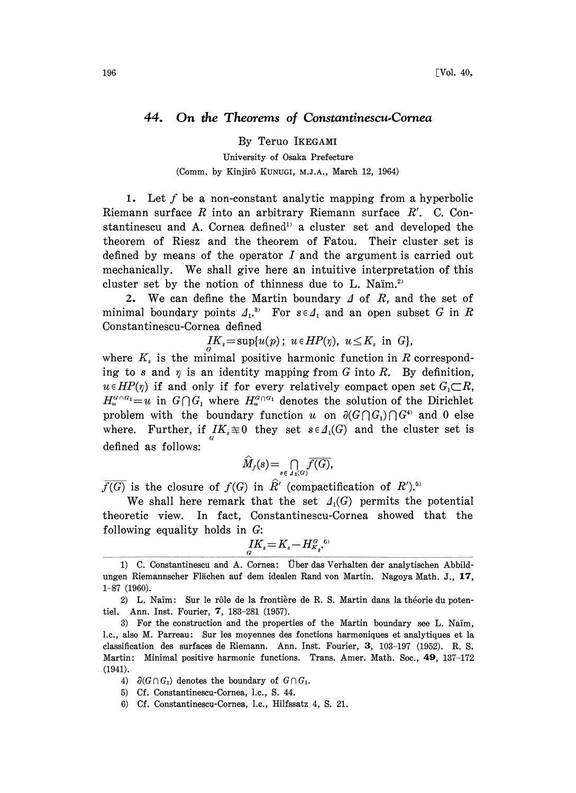## 44. On the Theorems of Constantinescu-Cornea

By Teruo IKEGAMI

University of Osaka Prefecture (Comm. by Kinjirô KUNUGI, M.J.A., March 12, 1964)

1. Let  $f$  be a non-constant analytic mapping from a hyperbolic Riemann surface  $R$  into an arbitrary Riemann surface  $R'$ . C. Constantinescu and A. Cornea defined<sup>1</sup> a cluster set and developed the theorem of Riesz and the theorem of Fatou. Their cluster set is defined by means of the operator  $I$  and the argument is carried out mechanically. We shall give here an intuitive interpretation of this cluster set by the notion of thinness due to L. Nam.<sup>2)</sup>

2. We can define the Martin boundary  $\Delta$  of  $R$ , and the set of minimal boundary points  $\Lambda_1$ <sup>3</sup> For  $s \in \Lambda_1$  and an open subset G in R Constantinescu-Cornea defined  $I_1$ . To  $\overline{C} \subset I_1$  and an open sub-<br>lea defined<br> $I_1K_s = \sup\{u(p); u \in HP(\eta), u \leq K_s \text{ in } G\},\$ 

where  $K<sub>s</sub>$  is the minimal positive harmonic function in R corresponding to s and  $\eta$  is an identity mapping from G into R. By definition,  $u \in HP(\eta)$  if and only if for every relatively compact open set  $G_1 \subset R$ ,  $H_u^{G \cap G_1} = u$  in  $G \cap G_1$  where  $H_u^{G \cap G_1}$  denotes the solution of the Dirichlet problem with the boundary function u on  $\partial(G \cap G_1) \cap G^4$  and 0 else where. Further, if  $IK_s \equiv 0$  they set  $s \in A_1(G)$  and the cluster set is G defined as follows:

$$
\widehat{M}_f(s) = \bigcap_{s \in \Lambda_1(G)} \overline{f(G)},
$$

 $\overline{f(G)}$  is the closure of  $f(G)$  in  $\widehat{R}'$  (compactification of  $R'$ ).<sup>5)</sup>

We shall here remark that the set  $\Lambda_1(G)$  permits the potential theoretic view. In fact, Constantinescu-Cornea showed that the following equality holds in G:

$$
I_{\alpha}^{I}K_{s}\!=\!K_{s}\!-\!H_{K_{s}}^{\alpha,\,6}
$$

2) L. Naïm: Sur le rôle de la frontière de R. S. Martin dans la théorie du potentiel. Ann. Inst. Fourier, 7, 183-281 (1957).

<sup>1)</sup> C. Constantinescu and A. Cornea: Über das Verhalten der analytischen Abbildungen Riemannscher Flächen auf dem idealen Rand von Martin. Nagoya Math. J., 17, 1-87 (1960).

<sup>3)</sup> For the construction and the properties of the Martin boundary see L. Naim, 1.c., also M. Parreau: Sur les moyennes des fonctions harmoniques et analytiques et la classification des surfaces de Riemann. Ann. Inst. Fourier, 3, 103-197 (1952). R.S. Martin: Minimal positive harmonic functions. Trans. Amer. Math. Soc., 49, 137-172 (1941).

<sup>4)</sup>  $\partial(G \cap G_1)$  denotes the boundary of  $G \cap G_1$ .

<sup>5)</sup> Cf. Constantinescu-Cornea, 1.c., S. 44.

<sup>6)</sup> Cf. Constantinescu-Cornea, 1.c., Hilfssatz 4, S. 21.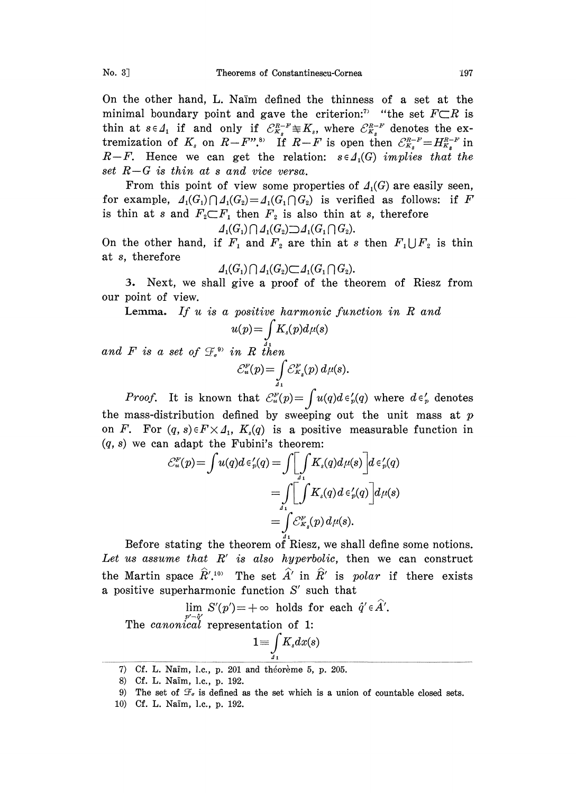On the other hand, L. Naïm defined the thinness of a set at the minimal boundary point and gave the criterion:<sup>7</sup> "the set  $F\subset R$  is. thin at  $s \in A_1$  if and only if  $C_{K_s}^{R-k} \cong K_s$ , where  $C_{K_s}^{R-k}$  denotes the ex-<br>tremization of  $K_s$  on  $R-F''$ .<sup>8)</sup> If  $R-F$  is open then  $C_{K_s}^{R-k} = H_{K_s}^{R-k}$  in<br> $R-F$ . Hence we can get the relation:  $s \in A(G)$  implies tha tremization of  $K_s$  on  $R-F''$ .<sup>8</sup> if  $R-F$  is open then  $\mathcal{E}_{K_s}^{R-F}=H_{K_s}^{R-F}$  in  $R-F$ . Hence we can get the relation:  $s \in A_1(G)$  implies that the set  $R-G$  is thin at s and vice versa.

From this point of view some properties of  $\Lambda_1(G)$  are easily seen, for example,  $A_1(G_1) \cap A_1(G_2) = A_1(G_1 \cap G_2)$  is verified as follows: if F is thin at s and  $F_2 \nightharpoonup F_1$  then  $F_2$  is also thin at s, therefore  $A_1(G_1) \cap A_1(G_2) \supset A_1(G_1) \cap G_2$ .

$$
d_1(G_1) \bigcap d_1(G_2) \bigcirc d_1(G_1 \bigcap G_2).
$$

On the other hand, if  $F_1$  and  $F_2$  are thin at s then  $F_1 \bigcup F_2$  is thin at s, therefore

$$
\varLambda_1(G_1) \cap \varLambda_1(G_2) \subset \varLambda_1(G_1 \cap G_2).
$$

. Next, we shall give <sup>a</sup> proof of the theorem of Riesz from our point of view.

**Lemma.** If  $u$  is a positive harmonic function in  $R$  and

$$
u(p) = \int_{\sigma}^{R} K_s(p) d\mu(s)
$$
  

$$
\tilde{u}^{(0)}_s \text{ in } R \text{ then}
$$
  

$$
\mathcal{E}^F_u(p) = \int \mathcal{E}^F_{K_s}(p) d\mu(s).
$$

*Proof.* It is known that  $\mathcal{C}_u^F(p) = \int u(q)d\epsilon'_p(q)$  where  $d\epsilon'_p$  denotes the mass-distribution defined by sweeping out the unit mass at  $p$ on F. For  $(q, s) \in F \times \Lambda_1$ ,  $K_s(q)$  is a positive measurable function in  $(q, s)$  we can adapt the Fubini's theorem:

$$
\mathcal{E}_u^F(p) = \int u(q)d \epsilon_p'(q) = \int \left[ \int_{a_1}^{\Delta} K_s(q)d\mu(s) \right] d\epsilon_p'(q)
$$
  
= 
$$
\int \left[ \int_{a_1}^{\Delta} K_s(q)d \epsilon_p'(q) \right] d\mu(s)
$$
  
= 
$$
\int_{a_1}^{\Delta} \mathcal{E}_{K_s}^F(p) d\mu(s).
$$

Before stating the theorem of Riesz, we shall define some notions. Let us assume that  $R'$  is also hyperbolic, then we can construct the Martin space  $\hat{R}'$ .<sup>10</sup> The set  $\hat{A}'$  in  $\hat{R}'$  is polar if there exists a positive superharmonic function  $S'$  such that

$$
\lim_{\substack{p' \to q' \\ P' \to q'}} S'(p') = +\infty \text{ holds for each } \hat{q}' \in \hat{A}'.
$$
  
The *canonical* representation of 1:  

$$
1 = \int K_s dx(s)
$$

 $\frac{J}{41}$ 

and  $F$  is a set of  $\mathcal G$ 

<sup>7)</sup> Cf. L. Naim, l.c., p. 201 and théorème 5, p. 205.

<sup>8)</sup> Cf. L. Nam, 1.c., p. 192.

<sup>9)</sup> The set of  $\mathcal{F}_{\sigma}$  is defined as the set which is a union of countable closed sets.

<sup>10)</sup> Cf. L. Nam, 1.c., p. 192.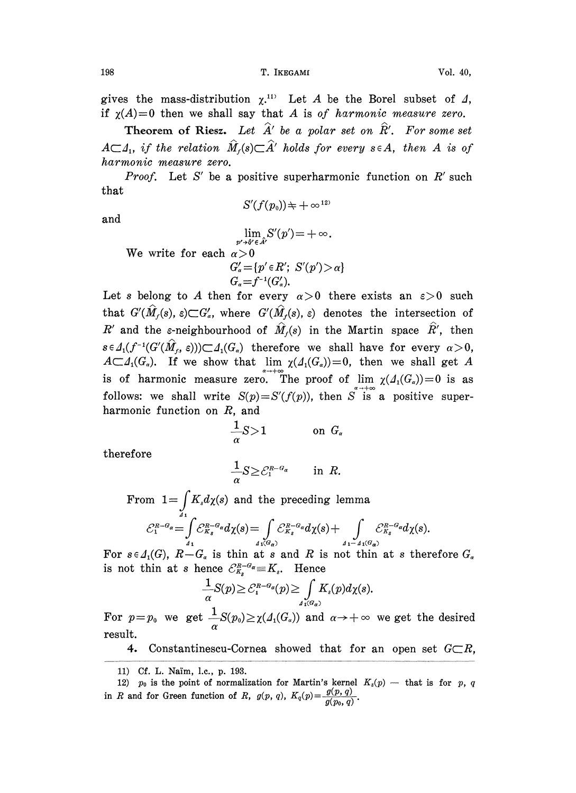gives the mass-distribution  $\chi^{(1)}$ . Let A be the Borel subset of  $\Lambda$ , if  $\chi(A)=0$  then we shall say that A is of harmonic measure zero.

Theorem of Riesz. Let  $\hat{A}'$  be a polar set on  $\hat{R}'$ . For some set  $A\subset A_1$ , if the relation  $\widehat{M}_f(s)\subset \widehat{A}'$  holds for every  $s\in A$ , then A is of harmonic measure zero.

*Proof.* Let S' be a positive superharmonic function on  $R'$  such that  $S'(f(p_0)) \neq +\infty^{12}$ 

and

$$
\lim_{p' \to \hat{q}' \in \hat{A}'} S'(p') = +\infty.
$$
\nWe write for each  $\alpha > 0$   
\n
$$
G'_{\alpha} = \{p' \in R'; S'(p') > \alpha\}
$$
\n
$$
G_{\alpha} = f^{-1}(G'_{\alpha}).
$$

 $G_{\alpha} = f^{-1}(G_{\alpha}^{\prime}).$ <br>Let s belong to A then for every  $\alpha > 0$  there exists an  $\varepsilon > 0$  such that  $G'(\hat{M}_f(s), \varepsilon) \subset G'_s$ , where  $G'(\hat{M}_f(s), \varepsilon)$  denotes the intersection of R' and the  $\varepsilon$ -neighbourhood of  $\hat{M}_r(s)$  in the Martin space  $\hat{R}'$ , then  $s \in A_1(f^{-1}(G'(\hat{M}_t, \varepsilon))\subset A_1(G_{\alpha})$  therefore we shall have for every  $\alpha > 0$ ,  $A\subset A_1(G_\alpha)$ . If we show that lim  $\chi(A_1(G_\alpha))=0$ , then we shall get A is of harmonic measure zero. The proof of  $\lim_{\alpha \to \infty} \chi(\Lambda_1(G_\alpha))=0$  is as follows: we shall write  $S(p) = S'(f(p))$ , then S<sup>atto</sup> a positive superharmonic function on R, and

$$
\frac{1}{\alpha}S>1 \qquad \qquad \text{on } G_{\alpha}
$$

therefore

$$
\frac{1}{\alpha}S \geq \mathcal{C}_1^{R-G_{\alpha}} \quad \text{in } R.
$$

From  $1=\int K_s d\chi(s)$  and the preceding lemma  $\mathcal{E}_1^{R-q_a} = \int_{A_1}^{A_1} \mathcal{E}_{K_s}^{R-q_a} d\chi(s) = \int_{A_1(G_{\sigma})} \mathcal{E}_{K_s}^{R-q_a} d\chi(s) + \int_{A_1-A_1(G_{\sigma})} \mathcal{E}_{K_s}^{R-q_a} d\chi(s).$ 

For  $s \in A_1(G)$ ,  $R-G_\alpha$  is thin at s and R is not thin at s therefore  $G_\alpha$ is not thin at s hence  $\mathcal{C}_{K_s}^{R-d} \equiv K_s$ . Hence

$$
\frac{1}{\alpha}S(p) \geq C_1^{R-G_{\alpha}}(p) \geq \int_{A_1(G_{\alpha})} K_s(p) d\chi(s).
$$

For  $p=p_0$  we get  $\frac{1}{\alpha}S(p_0)\geq \chi(\Lambda_1(G_\alpha))$  and  $\alpha\to+\infty$  we get the desired result.

4. Constantinescu-Cornea showed that for an open set  $G\subset\mathbb{R}$ ,

11) cf. L. Nam, 1.c., p. 193.

<sup>12)</sup>  $p_0$  is the point of normalization for Martin's kernel  $K_s(p)$  — that is for p, q in R and for Green function of R,  $g(p, q)$ ,  $K_q(p) = \frac{g(p, q)}{g(p_0, q)}$